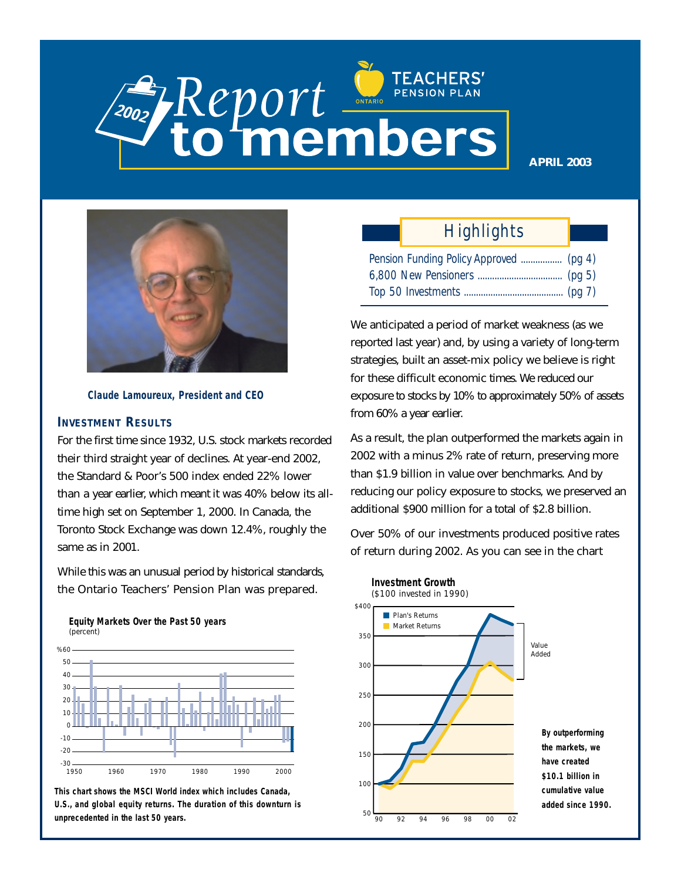# **Report PENSION PLAN**

**APRIL 2003**



**Claude Lamoureux, President and CEO**

#### **INVESTMENT RESULTS**

For the first time since 1932, U.S. stock markets recorded their third straight year of declines. At year-end 2002, the Standard & Poor's 500 index ended 22% lower than a year earlier, which meant it was 40% below its alltime high set on September 1, 2000. In Canada, the Toronto Stock Exchange was down 12.4%, roughly the same as in 2001.

While this was an unusual period by historical standards, the Ontario Teachers' Pension Plan was prepared.





**This chart shows the MSCI World index which includes Canada, U.S., and global equity returns. The duration of this downturn is unprecedented in the last 50 years.** 50

## *Highlights*

| Pension Funding Policy Approved  (pg 4) |  |
|-----------------------------------------|--|
|                                         |  |
|                                         |  |

We anticipated a period of market weakness (as we reported last year) and, by using a variety of long-term strategies, built an asset-mix policy we believe is right for these difficult economic times. We reduced our exposure to stocks by 10% to approximately 50% of assets from 60% a year earlier.

As a result, the plan outperformed the markets again in 2002 with a minus 2% rate of return, preserving more than \$1.9 billion in value over benchmarks. And by reducing our policy exposure to stocks, we preserved an additional \$900 million for a total of \$2.8 billion.

Over 50% of our investments produced positive rates of return during 2002. As you can see in the chart

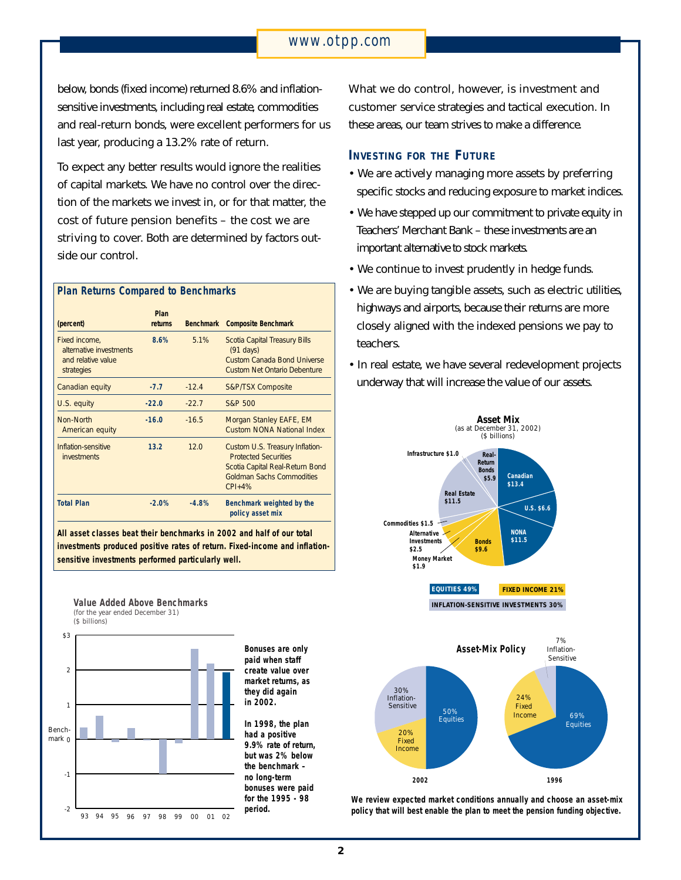## *www.otpp.com*

below, bonds (fixed income) returned 8.6% and inflationsensitive investments, including real estate, commodities and real-return bonds, were excellent performers for us last year, producing a 13.2% rate of return.

To expect any better results would ignore the realities of capital markets. We have no control over the direction of the markets we invest in, or for that matter, the cost of future pension benefits – the cost we are striving to cover. Both are determined by factors outside our control.

| <b>Plan Returns Compared to Benchmarks</b>                                   |                 |                  |                                                                                                                                                     |
|------------------------------------------------------------------------------|-----------------|------------------|-----------------------------------------------------------------------------------------------------------------------------------------------------|
| (percent)                                                                    | Plan<br>returns | <b>Benchmark</b> | <b>Composite Benchmark</b>                                                                                                                          |
| Fixed income,<br>alternative investments<br>and relative value<br>strategies | 8.6%            | 5.1%             | Scotia Capital Treasury Bills<br>$(91 \text{ days})$<br>Custom Canada Bond Universe<br><b>Custom Net Ontario Debenture</b>                          |
| Canadian equity                                                              | $-7.7$          | $-12.4$          | <b>S&amp;P/TSX Composite</b>                                                                                                                        |
| U.S. equity                                                                  | $-22.0$         | $-22.7$          | S&P 500                                                                                                                                             |
| Non-North<br>American equity                                                 | $-16.0$         | $-16.5$          | Morgan Stanley EAFE, EM<br>Custom NONA National Index                                                                                               |
| Inflation-sensitive<br><i>investments</i>                                    | 13.2            | 12.0             | Custom U.S. Treasury Inflation-<br><b>Protected Securities</b><br>Scotia Capital Real-Return Bond<br><b>Goldman Sachs Commodities</b><br>$CPI + 4%$ |
| <b>Total Plan</b>                                                            | $-2.0%$         | $-4.8%$          | Benchmark weighted by the<br>policy asset mix                                                                                                       |

**All asset classes beat their benchmarks in 2002 and half of our total investments produced positive rates of return. Fixed-income and inflationsensitive investments performed particularly well.**



**Value Added Above Benchmarks**

**Bonuses are only paid when staff create value over market returns, as they did again in 2002.**

**In 1998, the plan had a positive 9.9% rate of return, but was 2% below the benchmark – no long-term bonuses were paid for the 1995 - 98 period.**

What we do control, however, is investment and customer service strategies and tactical execution. In these areas, our team strives to make a difference.

#### **INVESTING FOR THE FUTURE**

- We are actively managing more assets by preferring specific stocks and reducing exposure to market indices.
- We have stepped up our commitment to private equity in Teachers' Merchant Bank – these investments are an important alternative to stock markets.
- We continue to invest prudently in hedge funds.
- We are buying tangible assets, such as electric utilities, highways and airports, because their returns are more closely aligned with the indexed pensions we pay to teachers.
- In real estate, we have several redevelopment projects underway that will increase the value of our assets.





**We review expected market conditions annually and choose an asset-mix policy that will best enable the plan to meet the pension funding objective.**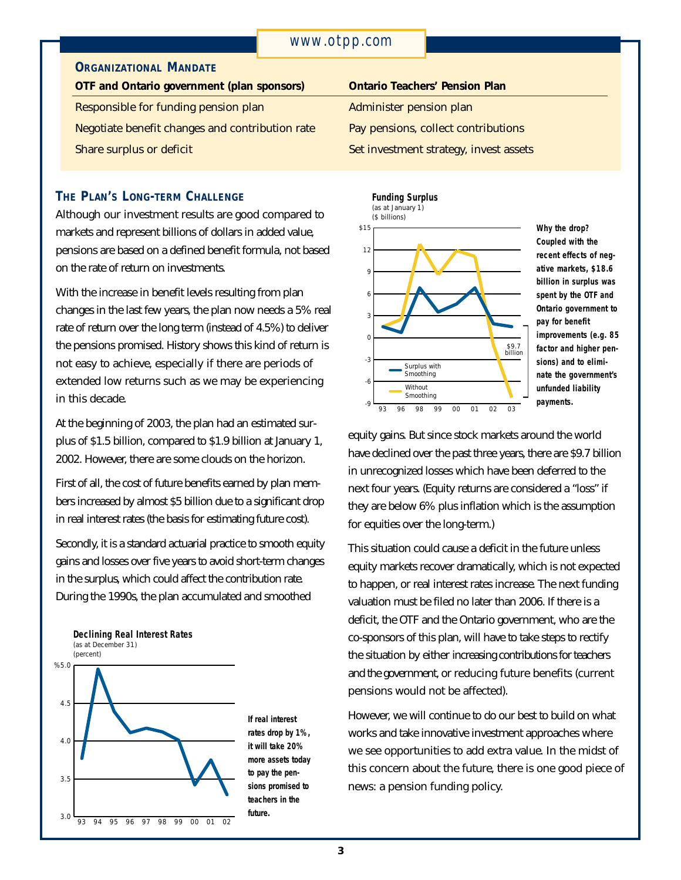## **ORGANIZATIONAL MANDATE**

**OTF and Ontario government (plan sponsors)** Responsible for funding pension plan Negotiate benefit changes and contribution rate Share surplus or deficit

## **THE PLAN'S LONG-TERM CHALLENGE**

Although our investment results are good compared to markets and represent billions of dollars in added value, pensions are based on a defined benefit formula, not based on the rate of return on investments.

With the increase in benefit levels resulting from plan changes in the last few years, the plan now needs a 5% real rate of return over the long term (instead of 4.5%) to deliver the pensions promised. History shows this kind of return is not easy to achieve, especially if there are periods of extended low returns such as we may be experiencing in this decade.

At the beginning of 2003, the plan had an estimated surplus of \$1.5 billion, compared to \$1.9 billion at January 1, 2002. However, there are some clouds on the horizon.

First of all, the cost of future benefits earned by plan members increased by almost \$5 billion due to a significant drop in real interest rates (the basis for estimating future cost).

Secondly, it is a standard actuarial practice to smooth equity gains and losses over five years to avoid short-term changes in the surplus, which could affect the contribution rate. During the 1990s, the plan accumulated and smoothed



**If real interest rates drop by 1%, it will take 20% more assets today to pay the pensions promised to teachers in the future.**

## **Ontario Teachers' Pension Plan**

Administer pension plan

Pay pensions, collect contributions

Set investment strategy, invest assets



**Why the drop? Coupled with the recent effects of negative markets, \$18.6 billion in surplus was spent by the OTF and Ontario government to pay for benefit improvements (e.g. 85 factor and higher pensions) and to eliminate the government's unfunded liability payments.**

equity gains. But since stock markets around the world have declined over the past three years, there are \$9.7 billion in unrecognized losses which have been deferred to the next four years. (Equity returns are considered a "loss" if they are below 6% plus inflation which is the assumption for equities over the long-term.)

This situation could cause a deficit in the future unless equity markets recover dramatically, which is not expected to happen, or real interest rates increase. The next funding valuation must be filed no later than 2006. If there is a deficit, the OTF and the Ontario government, who are the co-sponsors of this plan, will have to take steps to rectify the situation by either increasing contributions for teachers and the government, or reducing future benefits (current pensions would not be affected).

However, we will continue to do our best to build on what works and take innovative investment approaches where we see opportunities to add extra value. In the midst of this concern about the future, there is one good piece of news: a pension funding policy.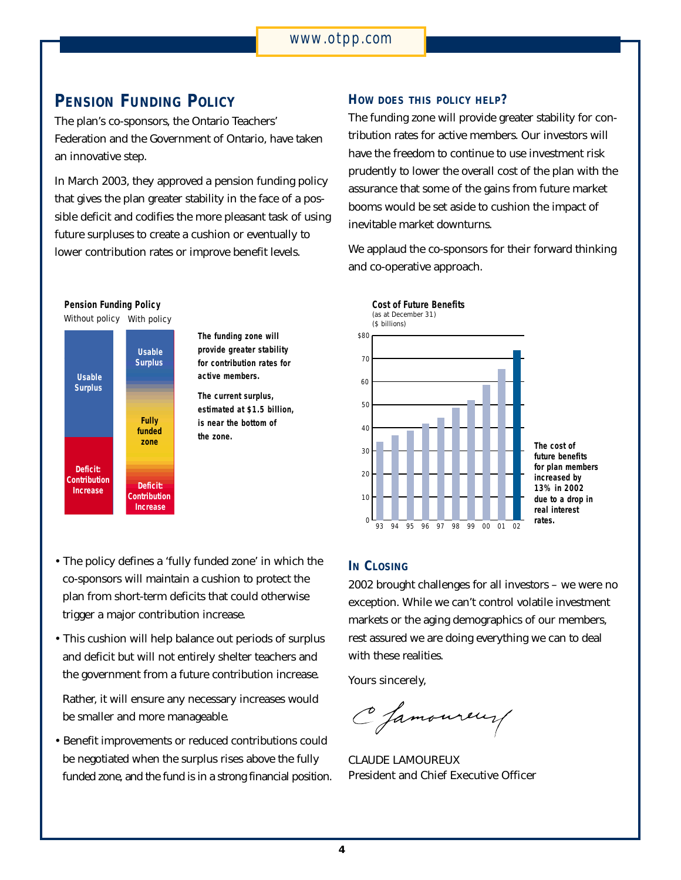## **PENSION FUNDING POLICY**

The plan's co-sponsors, the Ontario Teachers' Federation and the Government of Ontario, have taken an innovative step.

In March 2003, they approved a pension funding policy that gives the plan greater stability in the face of a possible deficit and codifies the more pleasant task of using future surpluses to create a cushion or eventually to lower contribution rates or improve benefit levels.



**The funding zone will provide greater stability for contribution rates for active members.** 

**The current surplus, estimated at \$1.5 billion, is near the bottom of the zone.**

- The policy defines a 'fully funded zone' in which the co-sponsors will maintain a cushion to protect the plan from short-term deficits that could otherwise trigger a major contribution increase.
- This cushion will help balance out periods of surplus and deficit but will not entirely shelter teachers and the government from a future contribution increase.

Rather, it will ensure any necessary increases would be smaller and more manageable.

• Benefit improvements or reduced contributions could be negotiated when the surplus rises above the fully funded zone, and the fund is in a strong financial position.

## **HOW DOES THIS POLICY HELP?**

The funding zone will provide greater stability for contribution rates for active members. Our investors will have the freedom to continue to use investment risk prudently to lower the overall cost of the plan with the assurance that some of the gains from future market booms would be set aside to cushion the impact of inevitable market downturns.

We applaud the co-sponsors for their forward thinking and co-operative approach.



### **IN** CLOSING

2002 brought challenges for all investors – we were no exception. While we can't control volatile investment markets or the aging demographics of our members, rest assured we are doing everything we can to deal with these realities.

Yours sincerely,

C Jamoureur

CLAUDE LAMOUREUX President and Chief Executive Officer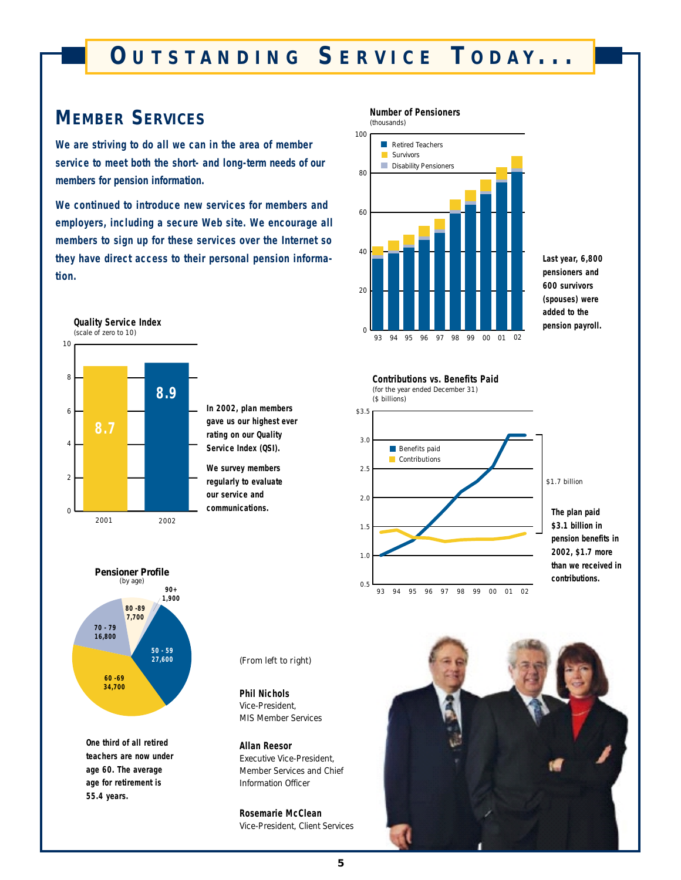# **O UTSTANDING S ERVICE T ODAY ...**

## **MEMBER SERVICES**

**We are striving to do all we can in the area of member service to meet both the short- and long-term needs of our members for pension information.**

**We continued to introduce new services for members and employers, including a secure Web site. We encourage all members to sign up for these services over the Internet so they have direct access to their personal pension information.** 



**In 2002, plan members gave us our highest ever rating on our Quality Service Index (QSI).**

**We survey members regularly to evaluate our service and communications.**



**Contributions vs. Benefits Paid** (for the year ended December 31)

**Number of Pensioners**

(thousands)

**Last year, 6,800 pensioners and 600 survivors (spouses) were added to the pension payroll.**



\$1.7 billion

**The plan paid \$3.1 billion in pension benefits in 2002, \$1.7 more than we received in contributions.**



**One third of all retired teachers are now under age 60. The average age for retirement is 55.4 years.**

*(From left to right)*

**Phil Nichols**  Vice-President, MIS Member Services

**Allan Reesor**  Executive Vice-President, Member Services and Chief Information Officer

**Rosemarie McClean** Vice-President, Client Services

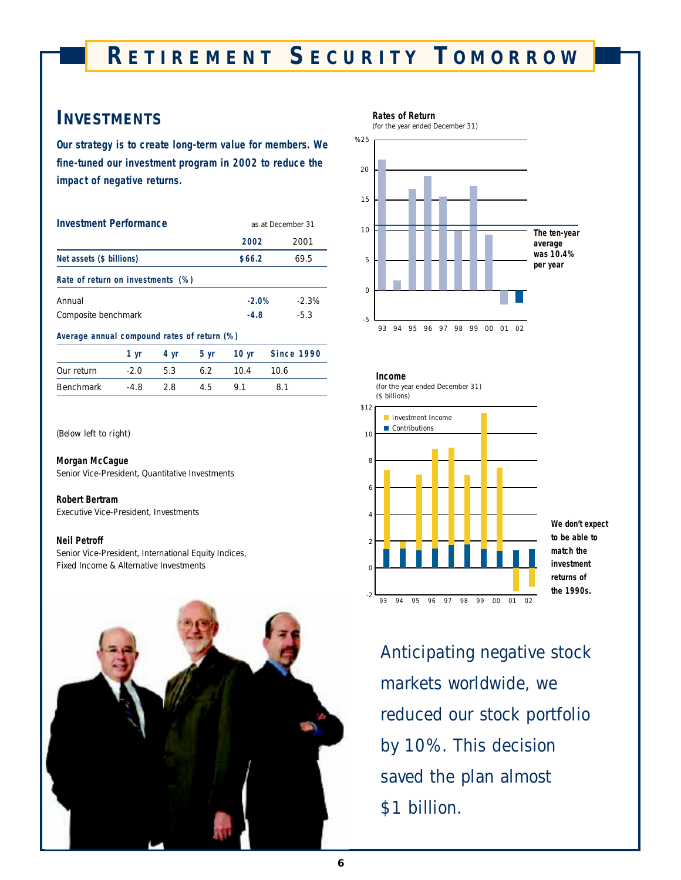## **R ETIREMENT S ECURITY T OMORROW**

## **INVESTMENTS**

**Our strategy is to create long-term value for members. We fine-tuned our investment program in 2002 to reduce the impact of negative returns.**

| <b>Investment Performance</b>               |      |      | as at December 31 |            |  |  |
|---------------------------------------------|------|------|-------------------|------------|--|--|
|                                             |      |      | 2002              | 2001       |  |  |
| Net assets (\$ billions)                    |      |      | \$66.2            | 69.5       |  |  |
| Rate of return on investments (%)           |      |      |                   |            |  |  |
| Annual                                      |      |      | $-2.0%$           | $-2.3%$    |  |  |
| Composite benchmark                         |      |      | $-4.8$            | $-5.3$     |  |  |
| Average annual compound rates of return (%) |      |      |                   |            |  |  |
| 1 yr                                        | 4 yr | 5 yr | 10 $yr$           | Since 1990 |  |  |

|            |        |      |     |         | $\mathbf{y}$ and $\mathbf{y}$ and $\mathbf{y}$ and $\mathbf{y}$ |  |
|------------|--------|------|-----|---------|-----------------------------------------------------------------|--|
| Our return | $-2.0$ | 5.3  | 6.2 | $-10.4$ | 10 6                                                            |  |
| Benchmark  | $-4.8$ | - 28 | 4.5 | 91      | -81                                                             |  |

#### *(Below left to right)*

#### **Morgan McCague**

Senior Vice-President, Quantitative Investments

#### **Robert Bertram**

Executive Vice-President, Investments

#### **Neil Petroff**

Senior Vice-President, International Equity Indices, Fixed Income & Alternative Investments











**We don't expect to be able to match the investment returns of the 1990s.**

*Anticipating negative stock markets worldwide, we reduced our stock portfolio by 10%. This decision saved the plan almost \$1 billion.*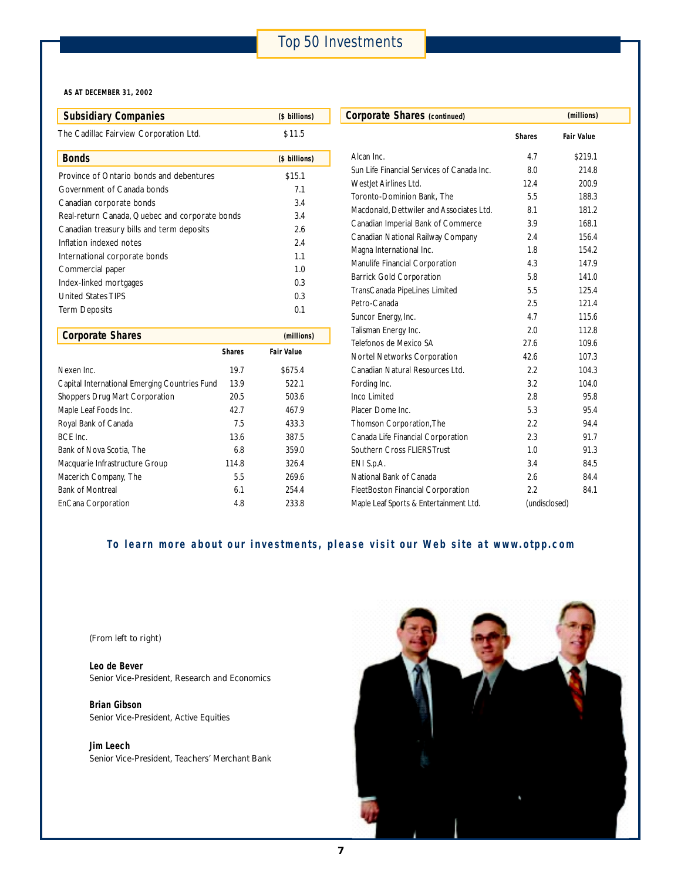#### **AS AT DECEMBER 31, 2002**

| <b>Subsidiary Companies</b>                    | (\$ billions) | Corporate Shares (continued)       |
|------------------------------------------------|---------------|------------------------------------|
| The Cadillac Fairview Corporation Ltd.         | \$11.5        |                                    |
| <b>Bonds</b>                                   | (\$ billions) | Alcan Inc.                         |
| Province of Ontario bonds and debentures       | \$15.1        | Sun Life Financial Services of Can |
| Government of Canada bonds                     | 7.1           | Westlet Airlines Ltd.              |
| Canadian corporate bonds                       | 3.4           | Toronto-Dominion Bank, The         |
| Real-return Canada, Quebec and corporate bonds | 3.4           | Macdonald, Dettwiler and Associa   |
| Canadian treasury bills and term deposits      | 2.6           | Canadian Imperial Bank of Comm     |
| Inflation indexed notes                        | 2.4           | Canadian National Railway Comp     |
| International corporate bonds                  | 1.1           | Magna International Inc.           |
| Commercial paper                               | 1.0           | Manulife Financial Corporation     |
| Index-linked mortgages                         | 0.3           | <b>Barrick Gold Corporation</b>    |
| <b>United States TIPS</b>                      | 0.3           | TransCanada PipeLines Limited      |
| <b>Term Deposits</b>                           | 0.1           | Petro-Canada                       |
|                                                |               | Suncor Energy, Inc.                |

| <b>Corporate Shares</b>                       |               | (millions)        |
|-----------------------------------------------|---------------|-------------------|
|                                               | <b>Shares</b> | <b>Fair Value</b> |
| Nexen Inc.                                    | 19.7          | \$675.4           |
| Capital International Emerging Countries Fund | 13.9          | 522.1             |
| Shoppers Drug Mart Corporation                | 20.5          | 503.6             |
| Maple Leaf Foods Inc.                         | 42.7          | 467.9             |
| Royal Bank of Canada                          | 7.5           | 433.3             |
| BCF Inc.                                      | 13.6          | 387.5             |
| Bank of Nova Scotia. The                      | 6.8           | 359.0             |
| Macquarie Infrastructure Group                | 114.8         | 326.4             |
| Macerich Company, The                         | 5.5           | 269.6             |
| <b>Bank of Montreal</b>                       | 6.1           | 254.4             |
| EnCana Corporation                            | 4.8           | 233.8             |

| Corporate Shares (continued)               |               | (millions)        |  |
|--------------------------------------------|---------------|-------------------|--|
|                                            | <b>Shares</b> | <b>Fair Value</b> |  |
| Alcan Inc.                                 | 4.7           | \$219.1           |  |
| Sun Life Financial Services of Canada Inc. | 8.0           | 214.8             |  |
| Westlet Airlines Ltd.                      | 12.4          | 200.9             |  |
| Toronto-Dominion Bank, The                 | 5.5           | 188.3             |  |
| Macdonald, Dettwiler and Associates Ltd.   | 8.1           | 181.2             |  |
| Canadian Imperial Bank of Commerce         | 3.9           | 168.1             |  |
| Canadian National Railway Company          | 2.4           | 156.4             |  |
| Magna International Inc.                   | 1.8           | 154.2             |  |
| Manulife Financial Corporation             | 4.3           | 147.9             |  |
| <b>Barrick Gold Corporation</b>            | 5.8           | 141.0             |  |
| TransCanada PipeLines Limited              | 5.5           | 125.4             |  |
| Petro-Canada                               | 2.5           | 121.4             |  |
| Suncor Energy, Inc.                        | 4.7           | 115.6             |  |
| Talisman Energy Inc.                       | 2.0           | 112.8             |  |
| Telefonos de Mexico SA                     | 27.6          | 109.6             |  |
| Nortel Networks Corporation                | 42.6          | 107.3             |  |
| Canadian Natural Resources Ltd.            | 2.2           | 104.3             |  |
| Fording Inc.                               | 3.2           | 104.0             |  |
| Inco Limited                               | 2.8           | 95.8              |  |
| Placer Dome Inc.                           | 5.3           | 95.4              |  |
| Thomson Corporation, The                   | 2.2           | 94.4              |  |
| Canada Life Financial Corporation          | 2.3           | 91.7              |  |
| Southern Cross FLIERS Trust                | 1.0           | 91.3              |  |
| ENI S.p.A.                                 | 3.4           | 84.5              |  |
| National Bank of Canada                    | 2.6           | 84.4              |  |
| <b>FleetBoston Financial Corporation</b>   | 2.2           | 84.1              |  |
| Maple Leaf Sports & Entertainment Ltd.     | (undisclosed) |                   |  |

## **To learn more about our investments, please visit our Web site at www.otpp.com**

*(From left to right)*

**Leo de Bever**  Senior Vice-President, Research and Economics

**Brian Gibson** Senior Vice-President, Active Equities

**Jim Leech** Senior Vice-President, Teachers' Merchant Bank